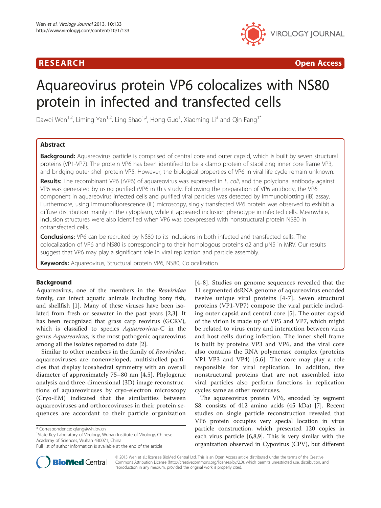

**RESEARCH CHINESE ARCH CHINESE ARCH CHINESE ARCH** 

# Aquareovirus protein VP6 colocalizes with NS80 protein in infected and transfected cells

Dawei Wen<sup>1,2</sup>, Liming Yan<sup>1,2</sup>, Ling Shao<sup>1,2</sup>, Hong Guo<sup>1</sup>, Xiaoming Li<sup>3</sup> and Qin Fang<sup>1\*</sup>

# Abstract

Background: Aquareovirus particle is comprised of central core and outer capsid, which is built by seven structural proteins (VP1-VP7). The protein VP6 has been identified to be a clamp protein of stabilizing inner core frame VP3, and bridging outer shell protein VP5. However, the biological properties of VP6 in viral life cycle remain unknown.

Results: The recombinant VP6 (rVP6) of aquareovirus was expressed in E. coli, and the polyclonal antibody against VP6 was generated by using purified rVP6 in this study. Following the preparation of VP6 antibody, the VP6 component in aquareovirus infected cells and purified viral particles was detected by Immunoblotting (IB) assay. Furthermore, using Immunofluorescence (IF) microscopy, singly transfected VP6 protein was observed to exhibit a diffuse distribution mainly in the cytoplasm, while it appeared inclusion phenotype in infected cells. Meanwhile, inclusion structures were also identified when VP6 was coexpressed with nonstructural protein NS80 in cotransfected cells.

**Conclusions:** VP6 can be recruited by NS80 to its inclusions in both infected and transfected cells. The colocalization of VP6 and NS80 is corresponding to their homologous proteins σ2 and μNS in MRV. Our results suggest that VP6 may play a significant role in viral replication and particle assembly.

Keywords: Aquareovirus, Structural protein VP6, NS80, Colocalization

### Background

Aquareovirus, one of the members in the Reoviridae family, can infect aquatic animals including bony fish, and shellfish [[1\]](#page-7-0). Many of these viruses have been isolated from fresh or seawater in the past years [\[2,3](#page-7-0)]. It has been recognized that grass carp reovirus (GCRV), which is classified to species Aquareovirus-C in the genus Aquareovirus, is the most pathogenic aquareovirus among all the isolates reported to date [[2\]](#page-7-0).

Similar to other members in the family of Reoviridae, aquareoviruses are nonenveloped, multishelled particles that display icosahedral symmetry with an overall diameter of approximately 75–80 nm [[4,5\]](#page-7-0). Phylogenic analysis and three-dimensional (3D) image reconstructions of aquareoviruses by cryo-electron microscopy (Cryo-EM) indicated that the similarities between aquareoviruses and orthoreoviruses in their protein sequences are accordant to their particle organization

<sup>1</sup>State Key Laboratory of Virology, Wuhan Institute of Virology, Chinese Academy of Sciences, Wuhan 430071, China

[[4](#page-7-0)-[8](#page-7-0)]. Studies on genome sequences revealed that the 11 segmented dsRNA genome of aquareovirus encoded twelve unique viral proteins [\[4](#page-7-0)-[7](#page-7-0)]. Seven structural proteins (VP1-VP7) compose the viral particle including outer capsid and central core [[5\]](#page-7-0). The outer capsid of the virion is made up of VP5 and VP7, which might be related to virus entry and interaction between virus and host cells during infection. The inner shell frame is built by proteins VP3 and VP6, and the viral core also contains the RNA polymerase complex (proteins VP1-VP3 and VP4) [[5,6\]](#page-7-0). The core may play a role responsible for viral replication. In addition, five nonstructural proteins that are not assembled into viral particles also perform functions in replication cycles same as other reoviruses.

The aquareovirus protein VP6, encoded by segment S8, consists of 412 amino acids (45 kDa) [\[7](#page-7-0)]. Recent studies on single particle reconstruction revealed that VP6 protein occupies very special location in virus particle construction, which presented 120 copies in each virus particle [\[6,8,9](#page-7-0)]. This is very similar with the organization observed in Cypovirus (CPV), but different



© 2013 Wen et al.; licensee BioMed Central Ltd. This is an Open Access article distributed under the terms of the Creative Commons Attribution License [\(http://creativecommons.org/licenses/by/2.0\)](http://creativecommons.org/licenses/by/2.0), which permits unrestricted use, distribution, and reproduction in any medium, provided the original work is properly cited.

<sup>\*</sup> Correspondence: [qfang@wh.iov.cn](mailto:qfang@wh.iov.cn) <sup>1</sup>

Full list of author information is available at the end of the article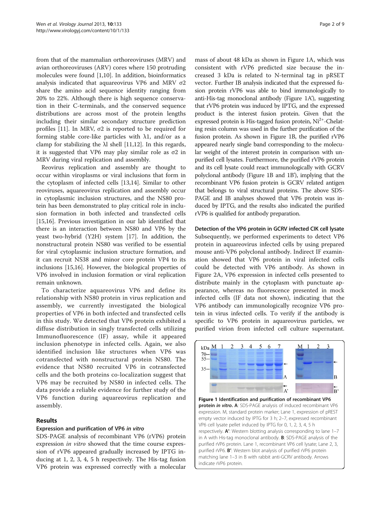from that of the mammalian orthoreoviruses (MRV) and avian orthoreoviruses (ARV) cores where 150 protruding molecules were found [\[1](#page-7-0),[10](#page-7-0)]. In addition, bioinformatics analysis indicated that aquareovirus VP6 and MRV σ2 share the amino acid sequence identity ranging from 20% to 22%. Although there is high sequence conservation in their C-terminals, and the conserved sequence distributions are across most of the protein lengths including their similar secondary structure prediction profiles [[11\]](#page-7-0). In MRV, σ2 is reported to be required for forming stable core-like particles with  $\lambda$ 1, and/or as a clamp for stabilizing the λl shell [\[11,12](#page-7-0)]. In this regards, it is suggested that VP6 may play similar role as σ2 in MRV during viral replication and assembly.

Reovirus replication and assembly are thought to occur within viroplasms or viral inclusions that form in the cytoplasm of infected cells [\[13,14](#page-7-0)]. Similar to other reoviruses, aquareovirus replication and assembly occur in cytoplasmic inclusion structures, and the NS80 protein has been demonstrated to play critical role in inclusion formation in both infected and transfected cells [[15,16\]](#page-7-0). Previous investigation in our lab identified that there is an interaction between NS80 and VP6 by the yeast two-hybrid (Y2H) system [[17\]](#page-7-0). In addition, the nonstructural protein NS80 was verified to be essential for viral cytoplasmic inclusion structure formation, and it can recruit NS38 and minor core protein VP4 to its inclusions [[15,16](#page-7-0)]. However, the biological properties of VP6 involved in inclusion formation or viral replication remain unknown.

To characterize aquareovirus VP6 and define its relationship with NS80 protein in virus replication and assembly, we currently investigated the biological properties of VP6 in both infected and transfected cells in this study. We detected that VP6 protein exhibited a diffuse distribution in singly transfected cells utilizing Immunofluorescence (IF) assay, while it appeared inclusion phenotype in infected cells. Again, we also identified inclusion like structures when VP6 was cotransfected with nonstructural protein NS80. The evidence that NS80 recruited VP6 in cotransfected cells and the both proteins co-localization suggest that VP6 may be recruited by NS80 in infected cells. The data provide a reliable evidence for further study of the VP6 function during aquareovirus replication and assembly.

### Results

### Expression and purification of VP6 in vitro

SDS-PAGE analysis of recombinant VP6 (rVP6) protein expression *in vitro* showed that the time course expression of rVP6 appeared gradually increased by IPTG inducing at 1, 2, 3, 4, 5 h respectively. The His-tag fusion VP6 protein was expressed correctly with a molecular mass of about 48 kDa as shown in Figure 1A, which was consistent with rVP6 predicted size because the increased 3 kDa is related to N-terminal tag in pRSET vector. Further IB analysis indicated that the expressed fusion protein rVP6 was able to bind immunologically to anti-His-tag monoclonal antibody (Figure 1A'), suggesting that rVP6 protein was induced by IPTG, and the expressed product is the interest fusion protein. Given that the expressed protein is His-tagged fusion protein,  $Ni<sup>2+</sup>$ -Chelating resin column was used in the further purification of the fusion protein. As shown in Figure 1B, the purified rVP6 appeared nearly single band corresponding to the molecular weight of the interest protein in comparison with unpurified cell lysates. Furthermore, the purified rVP6 protein and its cell lysate could react immunologically with GCRV polyclonal antibody (Figure 1B and 1B'), implying that the recombinant VP6 fusion protein is GCRV related antigen that belongs to viral structural proteins. The above SDS-PAGE and IB analyses showed that VP6 protein was induced by IPTG, and the results also indicated the purified rVP6 is qualified for antibody preparation.

# Detection of the VP6 protein in GCRV infected CIK cell lysate

Subsequently, we performed experiments to detect VP6 protein in aquareovirus infected cells by using prepared mouse anti-VP6 polyclonal antibody. Indirect IF examination showed that VP6 protein in viral infected cells could be detected with VP6 antibody. As shown in Figure [2A](#page-2-0), VP6 expression in infected cells presented to distribute mainly in the cytoplasm with punctuate appearance, whereas no fluorescence presented in mock infected cells (IF data not shown), indicating that the VP6 antibody can immunologically recognize VP6 protein in virus infected cells. To verify if the antibody is specific to VP6 protein in aquareovirus particles, we purified virion from infected cell culture supernatant.



Figure 1 Identification and purification of recombinant VP6 protein in vitro. A: SDS-PAGE analysis of induced recombinant VP6 expression. M, standard protein marker; Lane 1, expression of pREST empty vector induced by IPTG for 3 h; 2–7, expressed recombinant VP6 cell lysate pellet induced by IPTG for 0, 1, 2, 3, 4, 5 h respectively. A': Western blotting analysis corresponding to lane 1–7 in A with His-tag monoclonal antibody. B: SDS-PAGE analysis of the purified rVP6 protein. Lane 1, recombinant VP6 cell lysate; Lane 2, 3, purified rVP6. B': Western blot analysis of purified rVP6 protein matching lane 1–3 in B with rabbit anti-GCRV antibody. Arrows indicate rVP6 protein.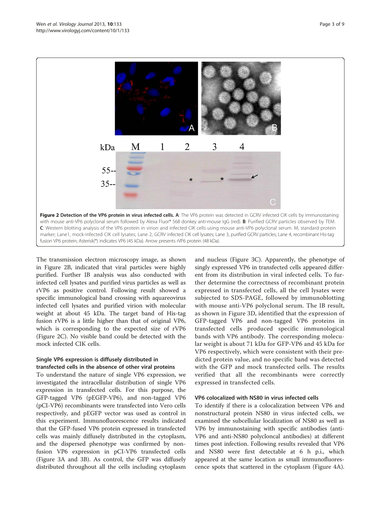<span id="page-2-0"></span>

The transmission electron microscopy image, as shown in Figure 2B, indicated that viral particles were highly purified. Further IB analysis was also conducted with infected cell lysates and purified virus particles as well as rVP6 as positive control. Following result showed a specific immunological band crossing with aquareovirus infected cell lysates and purified virion with molecular weight at about 45 kDa. The target band of His-tag fusion rVP6 is a little higher than that of original VP6, which is corresponding to the expected size of rVP6 (Figure 2C). No visible band could be detected with the mock infected CIK cells.

# Single VP6 expression is diffusely distributed in transfected cells in the absence of other viral proteins

To understand the nature of single VP6 expression, we investigated the intracellular distribution of single VP6 expression in transfected cells. For this purpose, the GFP-tagged VP6 (pEGFP-VP6), and non-tagged VP6 (pCI-VP6) recombinants were transfected into Vero cells respectively, and pEGFP vector was used as control in this experiment. Immunofluorescence results indicated that the GFP-fused VP6 protein expressed in transfected cells was mainly diffusely distributed in the cytoplasm, and the dispersed phenotype was confirmed by nonfusion VP6 expression in pCI-VP6 transfected cells (Figure [3A](#page-3-0) and [3B](#page-3-0)). As control, the GFP was diffusely distributed throughout all the cells including cytoplasm

and nucleus (Figure [3C](#page-3-0)). Apparently, the phenotype of singly expressed VP6 in transfected cells appeared different from its distribution in viral infected cells. To further determine the correctness of recombinant protein expressed in transfected cells, all the cell lysates were subjected to SDS-PAGE, followed by immunoblotting with mouse anti-VP6 polyclonal serum. The IB result, as shown in Figure [3D](#page-3-0), identified that the expression of GFP-tagged VP6 and non-tagged VP6 proteins in transfected cells produced specific immunological bands with VP6 antibody. The corresponding molecular weight is about 71 kDa for GFP-VP6 and 45 kDa for VP6 respectively, which were consistent with their predicted protein value, and no specific band was detected with the GFP and mock transfected cells. The results verified that all the recombinants were correctly expressed in transfected cells.

# VP6 colocalized with NS80 in virus infected cells

To identify if there is a colocalization between VP6 and nonstructural protein NS80 in virus infected cells, we examined the subcellular localization of NS80 as well as VP6 by immunostaining with specific antibodies (anti-VP6 and anti-NS80 polycloncal antibodies) at different times post infection. Following results revealed that VP6 and NS80 were first detectable at 6 h p.i., which appeared at the same location as small immunofluorescence spots that scattered in the cytoplasm (Figure [4](#page-4-0)A).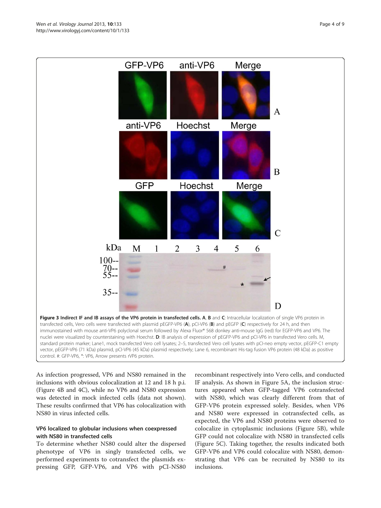<span id="page-3-0"></span>

As infection progressed, VP6 and NS80 remained in the inclusions with obvious colocalization at 12 and 18 h p.i. (Figure [4](#page-4-0)B and [4](#page-4-0)C), while no VP6 and NS80 expression was detected in mock infected cells (data not shown). These results confirmed that VP6 has colocalization with NS80 in virus infected cells.

# VP6 localized to globular inclusions when coexpressed with NS80 in transfected cells

To determine whether NS80 could alter the dispersed phenotype of VP6 in singly transfected cells, we performed experiments to cotransfect the plasmids expressing GFP, GFP-VP6, and VP6 with pCI-NS80

recombinant respectively into Vero cells, and conducted IF analysis. As shown in Figure [5A](#page-5-0), the inclusion structures appeared when GFP-tagged VP6 cotransfected with NS80, which was clearly different from that of GFP-VP6 protein expressed solely. Besides, when VP6 and NS80 were expressed in cotransfected cells, as expected, the VP6 and NS80 proteins were observed to colocalize in cytoplasmic inclusions (Figure [5B](#page-5-0)), while GFP could not colocalize with NS80 in transfected cells (Figure [5C](#page-5-0)). Taking together, the results indicated both GFP-VP6 and VP6 could colocalize with NS80, demonstrating that VP6 can be recruited by NS80 to its inclusions.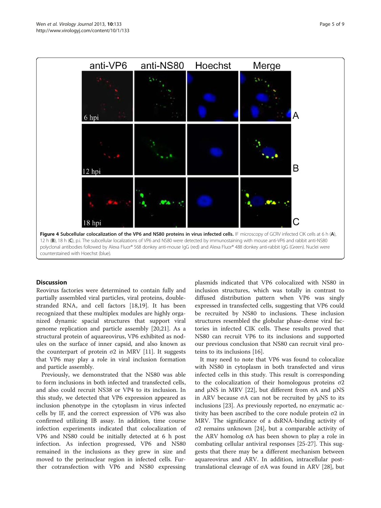<span id="page-4-0"></span>

### **Discussion**

Reovirus factories were determined to contain fully and partially assembled viral particles, viral proteins, doublestranded RNA, and cell factors [\[18,19](#page-7-0)]. It has been recognized that these multiplex modules are highly organized dynamic spacial structures that support viral genome replication and particle assembly [\[20,21](#page-7-0)]. As a structural protein of aquareovirus, VP6 exhibited as nodules on the surface of inner capsid, and also known as the counterpart of protein σ2 in MRV [[11\]](#page-7-0). It suggests that VP6 may play a role in viral inclusion formation and particle assembly.

Previously, we demonstrated that the NS80 was able to form inclusions in both infected and transfected cells, and also could recruit NS38 or VP4 to its inclusion. In this study, we detected that VP6 expression appeared as inclusion phenotype in the cytoplasm in virus infected cells by IF, and the correct expression of VP6 was also confirmed utilizing IB assay. In addition, time course infection experiments indicated that colocalization of VP6 and NS80 could be initially detected at 6 h post infection. As infection progressed, VP6 and NS80 remained in the inclusions as they grew in size and moved to the perinuclear region in infected cells. Further cotransfection with VP6 and NS80 expressing plasmids indicated that VP6 colocalized with NS80 in inclusion structures, which was totally in contrast to diffused distribution pattern when VP6 was singly expressed in transfected cells, suggesting that VP6 could be recruited by NS80 to inclusions. These inclusion structures resembled the globular phase-dense viral factories in infected CIK cells. These results proved that NS80 can recruit VP6 to its inclusions and supported our previous conclusion that NS80 can recruit viral proteins to its inclusions [[16\]](#page-7-0).

It may need to note that VP6 was found to colocalize with NS80 in cytoplasm in both transfected and virus infected cells in this study. This result is corresponding to the colocalization of their homologous proteins σ2 and  $\mu$ NS in MRV [\[22](#page-7-0)], but different from σA and  $\mu$ NS in ARV because σA can not be recruited by μNS to its inclusions [[23\]](#page-7-0). As previously reported, no enzymatic activity has been ascribed to the core nodule protein σ2 in MRV. The significance of a dsRNA-binding activity of σ2 remains unknown [[24\]](#page-7-0), but a comparable activity of the ARV homolog σA has been shown to play a role in combating cellular antiviral responses [[25](#page-7-0)-[27\]](#page-7-0). This suggests that there may be a different mechanism between aquareovirus and ARV. In addition, intracellular posttranslational cleavage of σA was found in ARV [\[28](#page-7-0)], but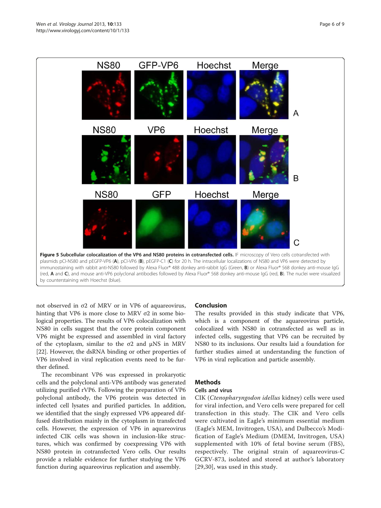<span id="page-5-0"></span>

not observed in σ2 of MRV or in VP6 of aquareovirus, hinting that VP6 is more close to MRV σ2 in some biological properties. The results of VP6 colocalization with NS80 in cells suggest that the core protein component VP6 might be expressed and assembled in viral factory of the cytoplasm, similar to the  $\sigma$ 2 and  $\mu$ NS in MRV [[22\]](#page-7-0). However, the dsRNA binding or other properties of VP6 involved in viral replication events need to be further defined.

The recombinant VP6 was expressed in prokaryotic cells and the polyclonal anti-VP6 antibody was generated utilizing purified rVP6. Following the preparation of VP6 polyclonal antibody, the VP6 protein was detected in infected cell lysates and purified particles. In addition, we identified that the singly expressed VP6 appeared diffused distribution mainly in the cytoplasm in transfected cells. However, the expression of VP6 in aquareovirus infected CIK cells was shown in inclusion-like structures, which was confirmed by coexpressing VP6 with NS80 protein in cotransfected Vero cells. Our results provide a reliable evidence for further studying the VP6 function during aquareovirus replication and assembly.

# Conclusion

The results provided in this study indicate that VP6, which is a component of the aquareovirus particle, colocalized with NS80 in cotransfected as well as in infected cells, suggesting that VP6 can be recruited by NS80 to its inclusions. Our results laid a foundation for further studies aimed at understanding the function of VP6 in viral replication and particle assembly.

# Methods

# Cells and virus

CIK (Ctenopharyngodon idellus kidney) cells were used for viral infection, and Vero cells were prepared for cell transfection in this study. The CIK and Vero cells were cultivated in Eagle's minimum essential medium (Eagle's MEM, Invitrogen, USA), and Dulbecco's Modification of Eagle's Medium (DMEM, Invitrogen, USA) supplemented with 10% of fetal bovine serum (FBS), respectively. The original strain of aquareovirus-C GCRV-873, isolated and stored at author's laboratory [[29](#page-7-0),[30\]](#page-8-0), was used in this study.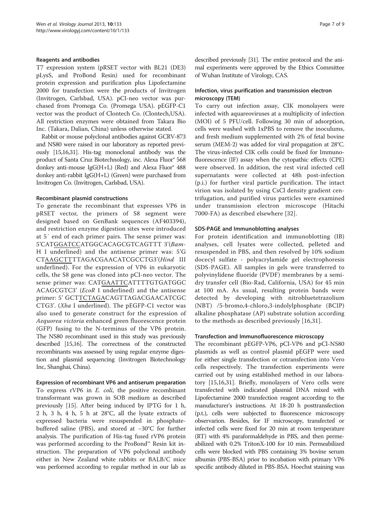#### Reagents and antibodies

T7 expression system (pRSET vector with BL21 (DE3) pLysS, and ProBond Resin) used for recombinant protein expression and purification plus Lipofectamine 2000 for transfection were the products of Invitrogen (Invitrogen, Carlsbad, USA). pCI-neo vector was purchased from Promega Co. (Promega USA). pEGFP-C1 vector was the product of Clontech Co. (Clontech,USA). All restriction enzymes were obtained from Takara Bio Inc. (Takara, Dalian, China) unless otherwise stated.

Rabbit or mouse polyclonal antibodies against GCRV-873 and NS80 were raised in our laboratory as reported previously [\[15,16](#page-7-0)[,31](#page-8-0)]. His-tag monoclonal antibody was the product of Santa Cruz Biotechnology, inc. Alexa Fluor® 568 donkey anti-mouse  $IgG(H+L)$  (Red) and Alexa Fluor<sup>®</sup> 488 donkey anti-rabbit IgG(H+L) (Green) were purchased from Invitrogen Co. (Invitrogen, Carlsbad, USA).

#### Recombinant plasmid constructions

To generate the recombinant that expresses VP6 in pRSET vector, the primers of S8 segment were designed based on GenBank sequences (AF403394), and restriction enzyme digestion sites were introduced at 5′ end of each primer pairs. The sense primer was: 5'CATGGATCCATGGCACAGCGTCAGTTT 3'(Bam-H I underlined) and the antisense primer was: 5'G CTAAGCTTTTAGACGAACATCGCCTG3'(Hind III underlined). For the expression of VP6 in eukaryotic cells, the S8 gene was cloned into pCI-neo vector. The sense primer was: CATGAATTCATTTTGTGATGGC ACAGCGTC3' (EcoR I underlined) and the antisense primer: 5' GCTTCTAGACAGTTAGACGAACATCGC CTG3'. (Xba I underlined). The pEGFP-C1 vector was also used to generate construct for the expression of Aequorea victoria enhanced green fluorescence protein (GFP) fusing to the N-terminus of the VP6 protein. The NS80 recombinant used in this study was previously described [[15,16\]](#page-7-0). The correctness of the constructed recombinants was assessed by using regular enzyme digestion and plasmid sequencing (Invitrogen Biotechnology Inc, Shanghai, China).

Expression of recombinant VP6 and antiserum preparation To express rVP6 in *E. coli*, the positive recombinant transformant was grown in SOB medium as described previously [\[15\]](#page-7-0). After being induced by IPTG for 1 h, 2 h, 3 h, 4 h, 5 h at 28°C, all the lysate extracts of expressed bacteria were resuspended in phosphatebuffered saline (PBS), and stored at −30°C for further analysis. The purification of His-tag fused rVP6 protein was performed according to the ProBond™ Resin kit instruction. The preparation of VP6 polyclonal antibody either in New Zealand white rabbits or BALB/C mice was performed according to regular method in our lab as described previously [\[31\]](#page-8-0). The entire protocol and the animal experiments were approved by the Ethics Committee of Wuhan Institute of Virology, CAS.

# Infection, virus purification and transmission electron microscopy (TEM)

To carry out infection assay, CIK monolayers were infected with aquareoviruses at a multiplicity of infection (MOI) of 5 PFU/cell. Following 30 min of adsorption, cells were washed with 1xPBS to remove the inoculums, and fresh medium supplemented with 2% of fetal bovine serum (MEM-2) was added for viral propagation at 28°C. The virus-infected CIK cells could be fixed for Immunofluorescence (IF) assay when the cytopathic effects (CPE) were observed. In addition, the rest viral infected cell supernatants were collected at 48h post-infection (p.i.) for further viral particle purification. The intact virion was isolated by using CsCl density gradient centrifugation, and purified virus particles were examined under transmission electron microscope (Hitachi 7000-FA) as described elsewhere [[32\]](#page-8-0).

### SDS-PAGE and Immunoblotting analyses

For protein identification and immunoblotting (IB) analyses, cell lysates were collected, pelleted and resuspended in PBS, and then resolved by 10% sodium docecyl sulfate - polyacrylamide gel electrophoresis (SDS-PAGE). All samples in gels were transferred to polyvinylidene fluoride (PVDF) membranes by a semidry transfer cell (Bio-Rad, California, USA) for 45 min at 100 mA. As usual, resulting protein bands were detected by developing with nitrobluetetrazolium (NBT) /5-bromo,4-chloro,3-indolylphosphate (BCIP) alkaline phosphatase (AP) substrate solution according to the methods as described previously [[16](#page-7-0),[31\]](#page-8-0).

### Transfection and Immunofluorescence microscopy

The recombinant pEGFP-VP6, pCI-VP6 and pCI-NS80 plasmids as well as control plasmid pEGFP were used for either single transfection or cotransfection into Vero cells respectively. The transfection experiments were carried out by using established method in our laboratory [\[15,16](#page-7-0)[,31\]](#page-8-0). Briefly, monolayers of Vero cells were transfected with indicated plasmid DNA mixed with Lipofectamine 2000 transfection reagent according to the manufacturer's instructions. At 18-20 h posttransfection (p.t.), cells were subjected to fluorescence microscopy observarion. Besides, for IF microscopy, transfected or infected cells were fixed for 20 min at room temperature (RT) with 4% paraformaldehyde in PBS, and then permeabilized with 0.2% TritonX-100 for 10 min. Permeabilized cells were blocked with PBS containing 3% bovine serum albumin (PBS-BSA) prior to incubation with primary VP6 specific antibody diluted in PBS-BSA. Hoechst staining was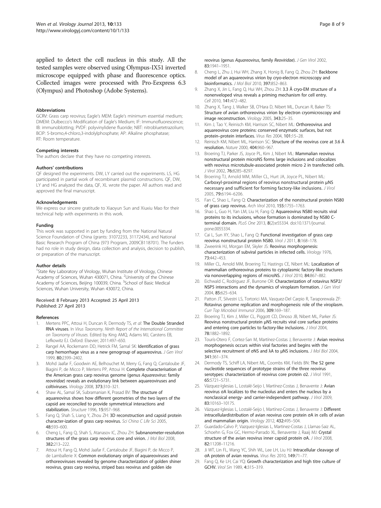<span id="page-7-0"></span>applied to detect the cell nucleus in this study. All the tested samples were observed using Olympus-IX51 inverted microscope equipped with phase and fluorescence optics. Collected images were processed with Pro-Eexpress 6.3 (Olympus) and Photoshop (Adobe Systems).

#### **Abbreviations**

GCRV: Grass carp reovirus; Eagle's MEM: Eagle's minimum essential medium; DMEM: Dulbecco's Modification of Eagle's Medium; IF: Immunofluorescence; IB: immunoblotting; PVDF: polyvinylidene fluoride; NBT: nitrobluetetrazolium; BCIP: 5-bromo,4-chloro,3-indolylphosphate; AP: Alkaline phosphatase; RT: Room temperature.

#### Competing interests

The authors declare that they have no competing interests.

#### Authors' contributions

QF designed the experiments. DW, LY carried out the experiments. LS, HG participated in partial work of recombinant plasmid constructions. QF, DW, LY and HG analyzed the data, QF, XL wrote the paper. All authors read and approved the final manuscript.

#### Acknowledgements

We express our sincere gratitude to Xiaoyun Sun and Xiuxiu Mao for their technical help with experiments in this work.

#### Funding

This work was supported in part by funding from the National Natural Science Foundation of China (grants: 31072233, 31172434), and National Basic Research Program of China (973 Program, 2009CB118701). The funders had no role in study design, data collection and analysis, decision to publish, or preparation of the manuscript.

#### Author details

<sup>1</sup>State Key Laboratory of Virology, Wuhan Institute of Virology, Chinese Academy of Sciences, Wuhan 430071, China. <sup>2</sup>University of the Chinese Academy of Sciences, Beijing 100039, China. <sup>3</sup>School of Basic Medical Sciences, Wuhan University, Wuhan 430072, China.

#### Received: 8 February 2013 Accepted: 25 April 2013 Published: 27 April 2013

#### References

- Mertens PPC, Attoui H, Duncan R, Dermody TS, et al: The Double Stranded RNA viruses. In Virus Taxonomy. Ninth Report of the International Committee on Taxonomy of Viruses. Edited by King AMQ, Adams MJ, Carstens EB, Lefkowitz EJ. Oxford: Elsevier; 2011:497–650.
- 2. Rangel AA, Rockemann DD, Hetrick FM, Samal SK: Identification of grass carp hemorrhage virus as a new genogroup of aquareovirus. J Gen Virol 1999, 80:2399–2402.
- 3. Mohd Jaafar F, Goodwin AE, Belhouchet M, Merry G, Fang Q, Cantaloube JF, Biagini P, de Micco P, Mertens PP, Attoui H: Complete characterisation of the American grass carp reovirus genome (genus Aquareovirus: family reoviridae) reveals an evolutionary link between aquareoviruses and coltiviruses. Virology 2008, 373:310–321.
- 4. Shaw AL, Samal SK, Subramanian K, Prasad BV: The structure of aquareovirus shows how different geometries of the two layers of the capsid are reconciled to provide symmetrical interactions and stabilization. Structure 1996, 15:957-968.
- 5. Fang Q, Shah S, Liang Y, Zhou ZH: 3D reconstruction and capsid protein character-ization of grass carp reovirus. Sci China C Life Sci 2005, 48:593–600.
- Cheng L, Fang Q, Shah S, Atanasov IC, Zhou ZH: Subnanometer-resolution structures of the grass carp reovirus core and virion. J Mol Biol 2008, 382:213–222.
- Attoui H, Fang Q, Mohd Jaafar F, Cantaloube JF, Biagini P, de Micco P, de Lamballerie X: Common evolutionary origin of aquareoviruses and orthoreoviruses revealed by genome characterization of golden shiner reovirus, grass carp reovirus, striped bass reovirus and golden ide

reovirus (genus Aquareovirus, family Reoviridae). J Gen Virol 2002, 83:1941–1951.

- 8. Cheng L, Zhu J, Hui WH, Zhang X, Honig B, Fang Q, Zhou ZH: Backbone model of an aquareovirus virion by cryo-electron microscopy and<br>bioinformatics. *I Mol Biol* 2010, 397:852-863
- bioinformatics. *J Mol Biol* 2010, 397:852–863.<br>9. Zhang X, Jin L, Fang Q, Hui WH, Zhou ZH: 3.3 Å cryo-EM structure of a nonenveloped virus reveals a priming mechanism for cell entry. Cell 2010, 141:472–482.
- 10. Zhang X, Tang J, Walker SB, O'Hara D, Nibert ML, Duncan R, Baker TS: Structure of avian orthoreovirus virion by electron cryomicroscopy and image reconstruction. Virology 2005, 343:25–35.
- 11. Kim J, Tao Y, Reinisch KM, Harrison SC, Nibert ML: Orthoreovirus and aquareovirus core proteins: conserved enzymatic surfaces, but not protein–protein interfaces. Virus Res 2004, 101:15–28.
- 12. Reinisch KM, Nibert ML, Harrison SC: Structure of the reovirus core at 3.6 Å resolution. Nature 2000, 404:960–967.
- 13. Broering TJ, Parker JS, Joyce PL, Kim J, Nibert ML: Mammalian reovirus nonstructural protein microNS forms large inclusions and colocalizes with reovirus microtubule-associated protein micro 2 in transfected cells. J Virol 2002, 76:8285–8297.
- 14. Broering TJ, Arnold MM, Miller CL, Hurt JA, Joyce PL, Nibert ML: Carboxyl-proximal regions of reovirus nonstructural protein μNS necessary and sufficient for forming factory-like inclusions. J Virol 2005, 79:6194–6206.
- 15. Fan C, Shao L, Fang Q: Characterization of the nonstructural protein NS80 of grass carp reovirus. Arch Virol 2010, 155:1755–1763.
- 16. Shao L, Guo H, Yan LM, Liu H, Fang Q: Aquareovirus NS80 recruits viral proteins to its inclusions, whose formation is dominated by NS80 Cterminal domain. PLoS One 2013, <sup>8</sup>(2):e55334. doi[:10.1371/journal.](http://dx.doi.org/10.1371/journal.pone.0055334) [pone.0055334.](http://dx.doi.org/10.1371/journal.pone.0055334)
- 17. Cai L, Sun XY, Shao L, Fang Q: Functional investigation of grass carp reovirus nonstructural protein NS80. Virol J 2011, 8:168–178.
- 18. Zweerink HJ, Morgan EM, Skyler JS: Reovirus morphogenesis: characterization of subviral particles in infected cells. Virology 1976, 73:442–453.
- 19. Miller CL, Arnold MM, Broering TJ, Hastings CE, Nibert ML: Localization of mammalian orthoreovirus proteins to cytoplasmic factory-like structures via nonoverlapping regions of microNS. J Virol 2010, 84:867–882.
- 20. Eichwald C, Rodriguez JF, Burrone OR: Characterization of rotavirus NSP2/ NSP5 interactions and the dynamics of viroplasm formation. J Gen Virol 2004, 85:625–634.
- 21. Patton JT, Silvestri LS, Tortorici MA, Vasquez-Del Carpio R, Taraporewala ZF: Rotavirus genome replication and morphogenesis: role of the viroplasm. Curr Top Microbiol Immunol 2006, 309:169–187.
- 22. Broering TJ, Kim J, Miller CL, Piggott CD, Dinoso JB, Nibert ML, Parker JS: Reovirus nonstructural protein μNS recruits viral core surface proteins and entering core particles to factory-like inclusions. J Virol 2004, 78:1882–1892.
- 23. Tourís-Otero F, Cortez-San M, Martínez-Costas J, Benavente J: Avian reovirus morphogenesis occurs within viral factories and begins with the selective recruitment of <sup>σ</sup>NS and <sup>λ</sup>A to <sup>μ</sup>NS inclusions. J Mol Biol 2004, 341:361–374.
- 24. Dermody TS, Schiff LA, Nibert ML, Coombs KM, Fields BN: The S2 gene nucleotide sequences of prototype strains of the three reovirus serotypes: characterization of reovirus core protein <sup>σ</sup>2. J Virol 1991, 65:5721–5731.
- 25. Vázquez-Iglesias L, Lostalé-Seijo I, Martínez-Costas J, Benavente J: Avian reovirus σA localizes to the nucleolus and enters the nucleus by a nonclassical energy- and carrier-independent pathway. J Virol 2009, 83:10163–10175.
- 26. Vázquez-Iglesias L, Lostalé-Seijo I, Martínez-Costas J, Benavente J: Different intracellulardistribution of avian reovirus core protein σA in cells of avian and mammalian origin. Virology 2012, 432:495–504.
- 27. Guardado-Calvo P, Vazquez-Iglesias L, Martinez-Costas J, Llamas-Saiz AL, Schoehn G, Fox GC, Hermo-Parrado XL, Benavente J, Raaij MJ: Crystal structure of the avian reovirus inner capsid protein <sup>σ</sup>A. J Virol 2008, 82:11208–11216.
- 28. Ji WT, Lin FL, Wang YC, Shih WL, Lee LH, Liu HJ: Intracellular cleavage of <sup>σ</sup>A protein of avian reovirus. Virus Res 2010, 149:71–77.
- 29. Fang Q, Ke LH, Cai YQ: Growth characterization and high titre culture of GCHV. Virol Sin 1989, 4:315–319.